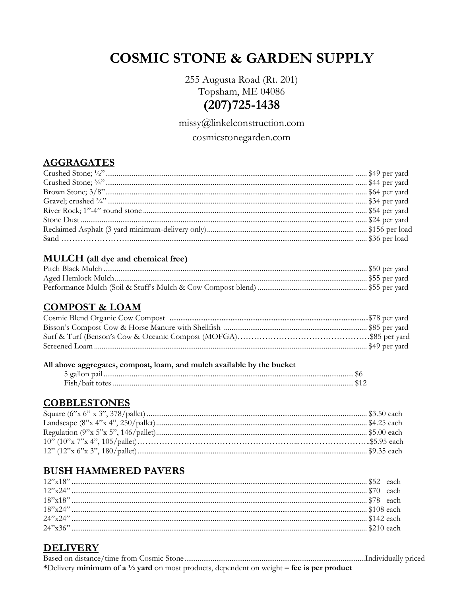# **COSMIC STONE & GARDEN SUPPLY**

## 255 Augusta Road (Rt. 201) Topsham, ME 04086  $(207)725 - 1438$

missy@linkelconstruction.com

cosmicstonegarden.com

### **AGGRAGATES**

#### **MULCH** (all dye and chemical free)

#### **COMPOST & LOAM**

#### All above aggregates, compost, loam, and mulch available by the bucket

#### **COBBLESTONES**

#### **BUSH HAMMERED PAVERS**

#### **DELIVERY**

| *Delivery minimum of a $\frac{1}{2}$ yard on most products, dependent on weight – fee is per product |  |
|------------------------------------------------------------------------------------------------------|--|